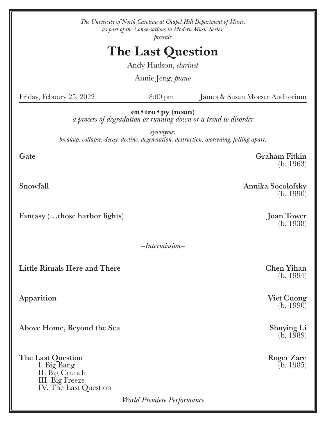| The University of North Carolina at Chapel Hill Department of Music,<br>as part of the Conversations in Modern Music Series,<br>presents |                            |                                   |
|------------------------------------------------------------------------------------------------------------------------------------------|----------------------------|-----------------------------------|
| <b>The Last Question</b>                                                                                                                 |                            |                                   |
| Andy Hudson, <i>clarinet</i>                                                                                                             |                            |                                   |
| Annie Jeng, <i>piano</i>                                                                                                                 |                            |                                   |
| Friday, Febuary 25, 2022                                                                                                                 | $8:00 \text{ pm}$          | James & Susan Moeser Auditorium   |
| $en \cdot tro \cdot py (noun)$<br>a process of degradation or running down or a trend to disorder                                        |                            |                                   |
| synonyms:<br>breakup. collapse. decay. decline. degeneration. destruction. worsening. falling apart.                                     |                            |                                   |
| Gate                                                                                                                                     |                            | <b>Graham Fitkin</b><br>(b. 1963) |
| Snowfall                                                                                                                                 |                            | Annika Socolofsky<br>(b. 1990)    |
| Fantasy (those harbor lights)                                                                                                            |                            | <b>Joan Tower</b><br>(b. 1938)    |
| $-Intermission-$                                                                                                                         |                            |                                   |
| <b>Little Rituals Here and There</b>                                                                                                     |                            | <b>Chen Yihan</b><br>(b. 1994)    |
| Apparition                                                                                                                               |                            | <b>Viet Cuong</b><br>(b. 1990)    |
| Above Home, Beyond the Sea                                                                                                               |                            | <b>Shuying Li</b><br>(b. 1989)    |
| The Last Question<br>I. Big Bang<br>II. Big Crunch<br>III. Big Freeze<br>IV. The Last Question                                           | World Premiere Performance | <b>Roger Zare</b><br>(b. 1985)    |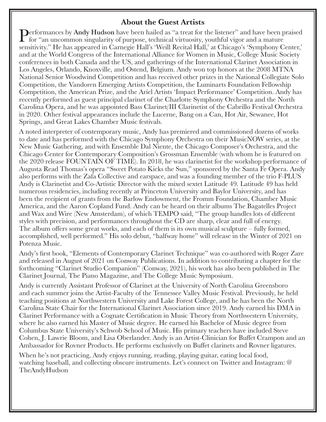# About the Guest Artists

**Derformances by Andy Hudson** have been hailed as "a treat for the listener" and have been praised **for "an uncommon singularity of purpose, technical virtuosity, youthful vigor and a mature** sensitivity." He has appeared in Carnegie Hall's 'Weill Recital Hall,' at Chicago's 'Symphony Center,' and at the World Congress of the International Alliance for Women in Music, College Music Society conferences in both Canada and the US, and gatherings of the International Clarinet Association in Los Angeles, Orlando, Knoxville, and Ostend, Belgium. Andy won top honors at the 2008 MTNA National Senior Woodwind Competition and has received other prizes in the National Collegiate Solo Competition, the Vandoren Emerging Artists Competition, the Luminarts Foundation Fellowship Competition, the American Prize, and the Ariel Artists 'Impact Performance' Competition. Andy has recently performed as guest principal clarinet of the Charlotte Symphony Orchestra and the North Carolina Opera, and he was appointed Bass Clarinet/III Clarinetist of the Cabrillo Festival Orchestra in 2020. Other festival appearances include the Lucerne, Bang on a Can, Hot Air, Sewanee, Hot Springs, and Great Lakes Chamber Music festivals.

A noted interpreter of contemporary music, Andy has premiered and commissioned dozens of works to date and has performed with the Chicago Symphony Orchestra on their MusicNOW series, at the New Music Gathering, and with Ensemble Dal Niente, the Chicago Composer's Orchestra, and the Chicago Center for Contemporary Composition's Grossman Ensemble (with whom he is featured on the 2020 release FOUNTAIN OF TIME). In 2018, he was clarinetist for the workshop performance of Augusta Read Thomas's opera "Sweet Potato Kicks the Sun," sponsored by the Santa Fe Opera. Andy also performs with the Zafa Collective and earspace, and was a founding member of the trio F-PLUS Andy is Clarinetist and Co-Artistic Director with the mixed sextet Latitude 49. Latitude 49 has held numerous residencies, including recently at Princeton University and Baylor University, and has been the recipient of grants from the Barlow Endowment, the Fromm Foundation, Chamber Music America, and the Aaron Copland Fund. Andy can be heard on their albums The Bagatelles Project and Wax and Wire (New Amsterdam), of which TEMPO said, "The group handles lots of different styles with precision, and performances throughout the CD are sharp, clear and full of energy. The album offers some great works, and each of them is its own musical sculpture – fully formed, accomplished, well performed." His solo debut, "halfway home" will release in the Winter of 2021 on Potenza Music.

Andy's first book, "Elements of Contemporary Clarinet Technique" was co-authored with Roger Zare and released in August of 2021 on Conway Publications. In addition to contributing a chapter for the forthcoming "Clarinet Studio Companion" (Conway, 2021), his work has also been published in The Clarinet Journal, The Piano Magazine, and The College Music Symposium.

Andy is currently Assistant Professor of Clarinet at the University of North Carolina Greensboro and each summer joins the Artist-Faculty of the Tennessee Valley Music Festival. Previously, he held teaching positions at Northwestern University and Lake Forest College, and he has been the North Carolina State Chair for the International Clarinet Association since 2019. Andy earned his DMA in Clarinet Performance with a Cognate Certification in Music Theory from Northwestern University, where he also earned his Master of Music degree. He earned his Bachelor of Music degree from Columbus State University's Schwob School of Music. His primary teachers have included Steve Cohen, J. Lawrie Bloom, and Lisa Oberlander. Andy is an Artist-Clinician for Buffet Crampon and an Ambassador for Rovner Products. He performs exclusively on Buffet clarinets and Rovner ligatures.

When he's not practicing, Andy enjoys running, reading, playing guitar, eating local food, watching baseball, and collecting obscure instruments. Let's connect on Twitter and Instagram: @ TheAndyHudson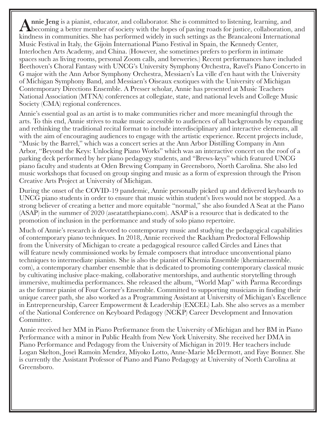Annie Jeng is a pianist, educator, and collaborator. She is committed to listening, learning, and becoming a better member of society with the hopes of paving roads for justice, collaboration, and kindness in communities. She has performed widely in such settings as the Brancaleoni International Music Festival in Italy, the Gijoìn International Piano Festival in Spain, the Kennedy Center, Interlochen Arts Academy, and China. (However, she sometimes prefers to perform in intimate spaces such as living rooms, personal Zoom calls, and breweries.) Recent performances have included Beethoven's Choral Fantasy with UNCG's University Symphony Orchestra, Ravel's Piano Concerto in G major with the Ann Arbor Symphony Orchestra, Messiaen's La ville d'en haut with the University of Michigan Symphony Band, and Messiaen's Oiseaux exotiques with the University of Michigan Contemporary Directions Ensemble. A Presser scholar, Annie has presented at Music Teachers National Association (MTNA) conferences at collegiate, state, and national levels and College Music Society (CMA) regional conferences.

Annie's essential goal as an artist is to make communities richer and more meaningful through the arts. To this end, Annie strives to make music accessible to audiences of all backgrounds by expanding and rethinking the traditional recital format to include interdisciplinary and interactive elements, all with the aim of encouraging audiences to engage with the artistic experience. Recent projects include, "Music by the Barrel," which was a concert series at the Ann Arbor Distilling Company in Ann Arbor, "Beyond the Keys: Unlocking Piano Works" which was an interactive concert on the roof of a parking deck performed by her piano pedagogy students, and "Brews-keys" which featured UNCG piano faculty and students at Oden Brewing Company in Greensboro, North Carolina. She also led music workshops that focused on group singing and music as a form of expression through the Prison Creative Arts Project at University of Michigan.

During the onset of the COVID-19 pandemic, Annie personally picked up and delivered keyboards to UNCG piano students in order to ensure that music within student's lives would not be stopped. As a strong believer of creating a better and more equitable "normal," she also founded A Seat at the Piano (ASAP) in the summer of 2020 (aseatatthepiano.com). ASAP is a resource that is dedicated to the promotion of inclusion in the performance and study of solo piano repertoire.

Much of Annie's research is devoted to contemporary music and studying the pedagogical capabilities of contemporary piano techniques. In 2018, Annie received the Rackham Predoctoral Fellowship from the University of Michigan to create a pedagogical resource called Circles and Lines that will feature newly commissioned works by female composers that introduce unconventional piano techniques to intermediate pianists. She is also the pianist of Khemia Ensemble (khemiaensemble. com), a contemporary chamber ensemble that is dedicated to promoting contemporary classical music by cultivating inclusive place-making, collaborative mentorships, and authentic storytelling through immersive, multimedia performances. She released the album, "World Map" with Parma Recordings as the former pianist of Four Corner's Ensemble. Committed to supporting musicians in finding their unique career path, she also worked as a Programming Assistant at University of Michigan's Excellence in Entrepreneurship, Career Empowerment & Leadership (EXCEL) Lab. She also serves as a member of the National Conference on Keyboard Pedagogy (NCKP) Career Development and Innovation Committee.

Annie received her MM in Piano Performance from the University of Michigan and her BM in Piano Performance with a minor in Public Health from New York University. She received her DMA in Piano Performance and Pedagogy from the University of Michigan in 2019. Her teachers include Logan Skelton, Joseì Ramoìn Mendez, Miyoko Lotto, Anne-Marie McDermott, and Faye Bonner. She is currently the Assistant Professor of Piano and Piano Pedagogy at University of North Carolina at Greensboro.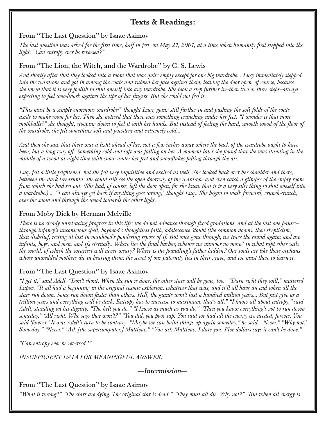# Texts & Readings:

### From "The Last Question" by Isaac Asimov

*The last question was asked for the first time, half in jest, on May 21, 2061, at a time when humanity first stepped into the light. "Can entropy ever be reversed?"*

## From "The Lion, the Witch, and the Wardrobe" by C. S. Lewis

*And shortly after that they looked into a room that was quite empty except for one big wardrobe... Lucy immediately stepped into the wardrobe and got in among the coats and rubbed her face against them, leaving the door open, of course, because she knew that it is very foolish to shut oneself into any wardrobe. She took a step further in—then two or three steps—always expecting to feel woodwork against the tips of her fingers. But she could not feel it.*

*"This must be a simply enormous wardrobe!" thought Lucy, going still further in and pushing the soft folds of the coats aside to make room for her. Then she noticed that there was something crunching under her feet. "I wonder is that more*  mothballs?" she thought, stooping down to feel it with her hands. But instead of feeling the hard, smooth wood of the floor of *the wardrobe, she felt something soft and powdery and extremely cold...*

*And then she saw that there was a light ahead of her; not a few inches away where the back of the wardrobe ought to have been, but a long way off. Something cold and soft was falling on her. A moment later she found that she was standing in the middle of a wood at night-time with snow under her feet and snowflakes falling through the air.*

*Lucy felt a little frightened, but she felt very inquisitive and excited as well. She looked back over her shoulder and there, between the dark tree-trunks, she could still see the open doorway of the wardrobe and even catch a glimpse of the empty room from which she had set out. (She had, of course, left the door open, for she knew that it is a very silly thing to shut oneself into a wardrobe.) ... "I can always get back if anything goes wrong," thought Lucy. She began to walk forward, crunch-crunch, over the snow and through the wood towards the other light.*

# From Moby Dick by Herman Melville

*There is no steady unretracing progress in this life; we do not advance through fixed gradations, and at the last one pause: through infancy's unconscious spell, boyhood's thoughtless faith, adolescence 'doubt (the common doom), then skepticism, then disbelief, resting at last in manhood's pondering repose of If. But once gone through, we trace the round again; and are infants, boys, and men, and Ifs eternally. Where lies the final harbor, whence we unmoor no more? In what rapt ether sails the world, of which the weariest will never weary? Where is the foundling's father hidden? Our souls are like those orphans whose unwedded mothers die in bearing them: the secret of our paternity lies in their grave, and we must there to learn it.*

## From "The Last Question" by Isaac Asimov

*"I get it," said Adell. "Don't shout. When the sun is done, the other stars will be gone, too." "Darn right they will," muttered Lupov. "It all had a beginning in the original cosmic explosion, whatever that was, and it'll all have an end when all the stars run down. Some run down faster than others. Hell, the giants won't last a hundred million years... But just give us a trillion years and everything will be dark. Entropy has to increase to maximum, that's all." "I know all about entropy," said Adell, standing on his dignity. "The hell you do." "I know as much as you do." "Then you know everything's got to run down someday." "All right. Who says they won't?" "You did, you poor sap. You said we had all the energy we needed, forever. You said 'forever.' It was Adell's turn to be contrary. "Maybe we can build things up again someday," he said. "Never." "Why not? Someday." "Never." "Ask [the supercomputer,] Multivac." "You ask Multivac. I dare you. Five dollars says it can't be done."*

*"Can entropy ever be reversed?"*

*INSUFFICIENT DATA FOR MEANINGFUL ANSWER.*

—Intermission—

# From "The Last Question" by Isaac Asimov

*"What is wrong?" "The stars are dying. The original star is dead." "They must all die. Why not?" "But when all energy is*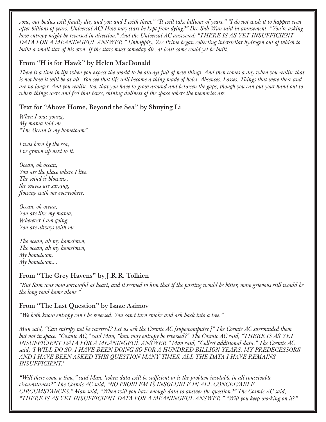*gone, our bodies will finally die, and you and I with them." "It will take billions of years." "I do not wish it to happen even after billions of years. Universal AC! How may stars be kept from dying?" Dee Sub Wun said in amusement, "You're asking how entropy might be reversed in direction." And the Universal AC answered: "THERE IS AS YET INSUFFICIENT DATA FOR A MEANINGFUL ANSWER." Unhappily, Zee Prime began collecting interstellar hydrogen out of which to build a small star of his own. If the stars must someday die, at least some could yet be built.*

## From "H is for Hawk" by Helen MacDonald

*There is a time in life when you expect the world to be always full of new things. And then comes a day when you realise that is not how it will be at all. You see that life will become a thing made of holes. Absences. Losses. Things that were there and are no longer. And you realise, too, that you have to grow around and between the gaps, though you can put your hand out to where things were and feel that tense, shining dullness of the space where the memories are.*

### Text for "Above Home, Beyond the Sea" by Shuying Li

*When I was young, My mama told me, "The Ocean is my hometown".*

*I was born by the sea, I've grown up next to it.*

*Ocean, oh ocean, You are the place where I live. The wind is blowing, the waves are surging, flowing with me everywhere.*

*Ocean, oh ocean, You are like my mama, Wherever I am going, You are always with me.*

*The ocean, ah my hometown, The ocean, ah my hometown, My hometown, My hometown….*

#### From "The Grey Havens" by J.R.R. Tolkien

*"But Sam was now sorrowful at heart, and it seemed to him that if the parting would be bitter, more grievous still would be the long road home alone."*

#### From "The Last Question" by Isaac Asimov

*"We both know entropy can't be reversed. You can't turn smoke and ash back into a tree."*

*Man said, "Can entropy not be reversed? Let us ask the Cosmic AC [supercomputer.]" The Cosmic AC surrounded them but not in space. "Cosmic AC," said Man, "how may entropy be reversed?" The Cosmic AC said, "THERE IS AS YET INSUFFICIENT DATA FOR A MEANINGFUL ANSWER." Man said, "Collect additional data." The Cosmic AC said, 'I WILL DO SO. I HAVE BEEN DOING SO FOR A HUNDRED BILLION YEARS. MY PREDECESSORS AND I HAVE BEEN ASKED THIS QUESTION MANY TlMES. ALL THE DATA I HAVE REMAINS INSUFFICIENT.'*

*"Will there come a time," said Man, 'when data will be sufficient or is the problem insoluble in all conceivable circumstances?" The Cosmic AC said, "NO PROBLEM IS INSOLUBLE IN ALL CONCEIVABLE CIRCUMSTANCES." Man said, "When will you have enough data to answer the question?" The Cosmic AC said, "THERE IS AS YET INSUFFICIENT DATA FOR A MEANINGFUL ANSWER." "Will you keep working on it?"*